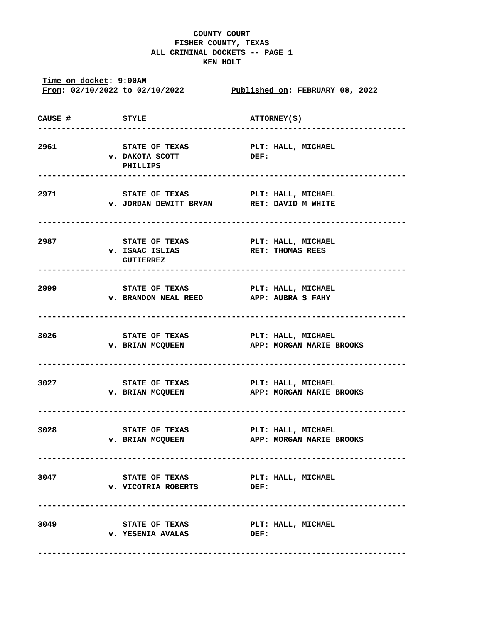## **COUNTY COURT FISHER COUNTY, TEXAS ALL CRIMINAL DOCKETS -- PAGE 1 KEN HOLT**

**Time on docket: 9:00AM From: 02/10/2022 to 02/10/2022 Published on: FEBRUARY 08, 2022 CAUSE # STYLE ATTORNEY(S) ------------------------------------------------------------------------------ 2961 STATE OF TEXAS PLT: HALL, MICHAEL v. DAKOTA SCOTT DEF: PHILLIPS ------------------------------------------------------------------------------ 2971 STATE OF TEXAS PLT: HALL, MICHAEL v. JORDAN DEWITT BRYAN RET: DAVID M WHITE ------------------------------------------------------------------------------ 2987 STATE OF TEXAS PLT: HALL, MICHAEL v. ISAAC ISLIAS RET: THOMAS REES GUTIERREZ ------------------------------------------------------------------------------ 2999 STATE OF TEXAS PLT: HALL, MICHAEL v. BRANDON NEAL REED APP: AUBRA S FAHY ------------------------------------------------------------------------------ 3026 STATE OF TEXAS PLT: HALL, MICHAEL v. BRIAN MCQUEEN APP: MORGAN MARIE BROOKS ------------------------------------------------------------------------------ 3027 STATE OF TEXAS PLT: HALL, MICHAEL v. BRIAN MCQUEEN APP: MORGAN MARIE BROOKS ------------------------------------------------------------------------------ 3028 STATE OF TEXAS PLT: HALL, MICHAEL v. BRIAN MCQUEEN APP: MORGAN MARIE BROOKS ------------------------------------------------------------------------------ 3047 STATE OF TEXAS PLT: HALL, MICHAEL v. VICOTRIA ROBERTS DEF: ------------------------------------------------------------------------------ 3049 STATE OF TEXAS PLT: HALL, MICHAEL**  v. YESENIA AVALAS **DEF**:  **------------------------------------------------------------------------------**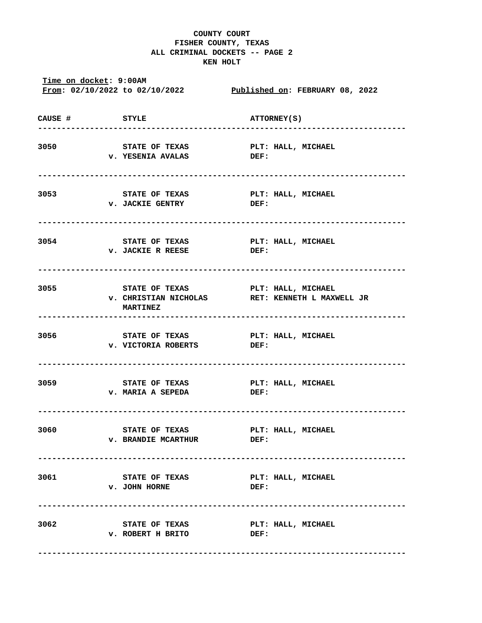## **COUNTY COURT FISHER COUNTY, TEXAS ALL CRIMINAL DOCKETS -- PAGE 2 KEN HOLT**

**Time on docket: 9:00AM From: 02/10/2022 to 02/10/2022 Published on: FEBRUARY 08, 2022 CAUSE # STYLE ATTORNEY(S) ------------------------------------------------------------------------------ 3050 STATE OF TEXAS PLT: HALL, MICHAEL v. YESENIA AVALAS DEF: ------------------------------------------------------------------------------ 3053 STATE OF TEXAS PLT: HALL, MICHAEL v. JACKIE GENTRY DEF: ------------------------------------------------------------------------------ 3054 STATE OF TEXAS PLT: HALL, MICHAEL v. JACKIE R REESE DEF: ------------------------------------------------------------------------------ 3055 STATE OF TEXAS PLT: HALL, MICHAEL v. CHRISTIAN NICHOLAS RET: KENNETH L MAXWELL JR MARTINEZ ------------------------------------------------------------------------------ 3056 STATE OF TEXAS PLT: HALL, MICHAEL v. VICTORIA ROBERTS DEF: ------------------------------------------------------------------------------ 3059 STATE OF TEXAS PLT: HALL, MICHAEL v. MARIA A SEPEDA DEF: ------------------------------------------------------------------------------ 3060 STATE OF TEXAS PLT: HALL, MICHAEL v. BRANDIE MCARTHUR DEF: ------------------------------------------------------------------------------ 3061 STATE OF TEXAS PLT: HALL, MICHAEL v. JOHN HORNE DEF: ------------------------------------------------------------------------------ 3062 STATE OF TEXAS PLT: HALL, MICHAEL v. ROBERT H BRITO DEF: ------------------------------------------------------------------------------**